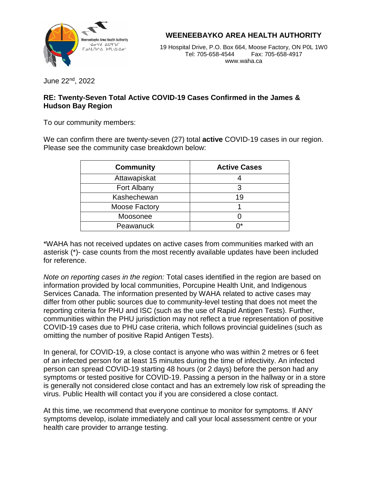

**WEENEEBAYKO AREA HEALTH AUTHORITY**

 $WWW.Wa\Pi a.Ca$ 19 Hospital Drive, P.O. Box 664, Moose Factory, ON P0L 1W0 Tel: 705-658-4544 Fax: 705-658-4917 www.waha.ca

June 22nd , 2022

## **RE: Twenty-Seven Total Active COVID-19 Cases Confirmed in the James & Hudson Bay Region**

To our community members:

We can confirm there are twenty-seven (27) total **active** COVID-19 cases in our region. Please see the community case breakdown below:

| <b>Community</b> | <b>Active Cases</b> |
|------------------|---------------------|
| Attawapiskat     |                     |
| Fort Albany      |                     |
| Kashechewan      | 19                  |
| Moose Factory    |                     |
| Moosonee         |                     |
| Peawanuck        |                     |

\*WAHA has not received updates on active cases from communities marked with an asterisk (\*)- case counts from the most recently available updates have been included for reference.

*Note on reporting cases in the region:* Total cases identified in the region are based on information provided by local communities, Porcupine Health Unit, and Indigenous Services Canada. The information presented by WAHA related to active cases may differ from other public sources due to community-level testing that does not meet the reporting criteria for PHU and ISC (such as the use of Rapid Antigen Tests). Further, communities within the PHU jurisdiction may not reflect a true representation of positive COVID-19 cases due to PHU case criteria, which follows provincial guidelines (such as omitting the number of positive Rapid Antigen Tests).

In general, for COVID-19, a close contact is anyone who was within 2 metres or 6 feet of an infected person for at least 15 minutes during the time of infectivity. An infected person can spread COVID-19 starting 48 hours (or 2 days) before the person had any symptoms or tested positive for COVID-19. Passing a person in the hallway or in a store is generally not considered close contact and has an extremely low risk of spreading the virus. Public Health will contact you if you are considered a close contact.

At this time, we recommend that everyone continue to monitor for symptoms. If ANY symptoms develop, isolate immediately and call your local assessment centre or your health care provider to arrange testing.